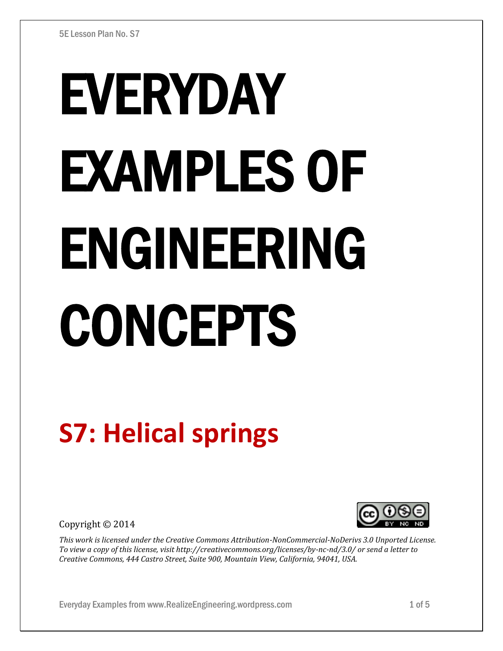# EVERYDAY EXAMPLES OF ENGINEERING CONCEPTS

## **S7: Helical springs**

Copyright © 2014



*This work is licensed under the Creative Commons Attribution-NonCommercial-NoDerivs 3.0 Unported License. To view a copy of this license, visit http://creativecommons.org/licenses/by-nc-nd/3.0/ or send a letter to Creative Commons, 444 Castro Street, Suite 900, Mountain View, California, 94041, USA.*

Everyday Examples from www.RealizeEngineering.wordpress.com 1 of 5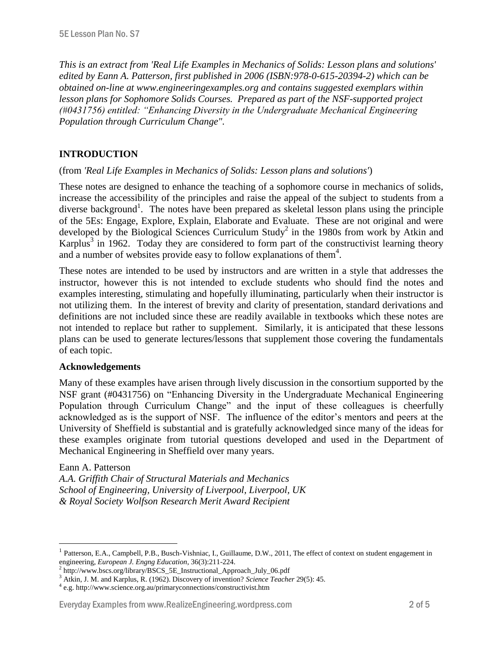*This is an extract from 'Real Life Examples in Mechanics of Solids: Lesson plans and solutions' edited by Eann A. Patterson, first published in 2006 (ISBN:978-0-615-20394-2) which can be obtained on-line at www.engineeringexamples.org and contains suggested exemplars within lesson plans for Sophomore Solids Courses. Prepared as part of the NSF-supported project (#0431756) entitled: "Enhancing Diversity in the Undergraduate Mechanical Engineering Population through Curriculum Change".* 

### **INTRODUCTION**

#### (from *'Real Life Examples in Mechanics of Solids: Lesson plans and solutions'*)

These notes are designed to enhance the teaching of a sophomore course in mechanics of solids, increase the accessibility of the principles and raise the appeal of the subject to students from a diverse background<sup>1</sup>. The notes have been prepared as skeletal lesson plans using the principle of the 5Es: Engage, Explore, Explain, Elaborate and Evaluate. These are not original and were developed by the Biological Sciences Curriculum Study<sup>2</sup> in the 1980s from work by Atkin and Karplus<sup>3</sup> in 1962. Today they are considered to form part of the constructivist learning theory and a number of websites provide easy to follow explanations of them<sup>4</sup>.

These notes are intended to be used by instructors and are written in a style that addresses the instructor, however this is not intended to exclude students who should find the notes and examples interesting, stimulating and hopefully illuminating, particularly when their instructor is not utilizing them. In the interest of brevity and clarity of presentation, standard derivations and definitions are not included since these are readily available in textbooks which these notes are not intended to replace but rather to supplement. Similarly, it is anticipated that these lessons plans can be used to generate lectures/lessons that supplement those covering the fundamentals of each topic.

#### **Acknowledgements**

Many of these examples have arisen through lively discussion in the consortium supported by the NSF grant (#0431756) on "Enhancing Diversity in the Undergraduate Mechanical Engineering Population through Curriculum Change" and the input of these colleagues is cheerfully acknowledged as is the support of NSF. The influence of the editor's mentors and peers at the University of Sheffield is substantial and is gratefully acknowledged since many of the ideas for these examples originate from tutorial questions developed and used in the Department of Mechanical Engineering in Sheffield over many years.

#### Eann A. Patterson

 $\overline{a}$ 

*A.A. Griffith Chair of Structural Materials and Mechanics School of Engineering, University of Liverpool, Liverpool, UK & Royal Society Wolfson Research Merit Award Recipient*

#### Everyday Examples from www.RealizeEngineering.wordpress.com 2 of 5

<sup>1</sup> Patterson, E.A., Campbell, P.B., Busch-Vishniac, I., Guillaume, D.W., 2011, The effect of context on student engagement in engineering, *European J. Engng Education*, 36(3):211-224.

<sup>&</sup>lt;sup>2</sup> http://www.bscs.org/library/BSCS\_5E\_Instructional\_Approach\_July\_06.pdf

<sup>3</sup> Atkin, J. M. and Karplus, R. (1962). Discovery of invention? *Science Teacher* 29(5): 45.

<sup>4</sup> e.g. http://www.science.org.au/primaryconnections/constructivist.htm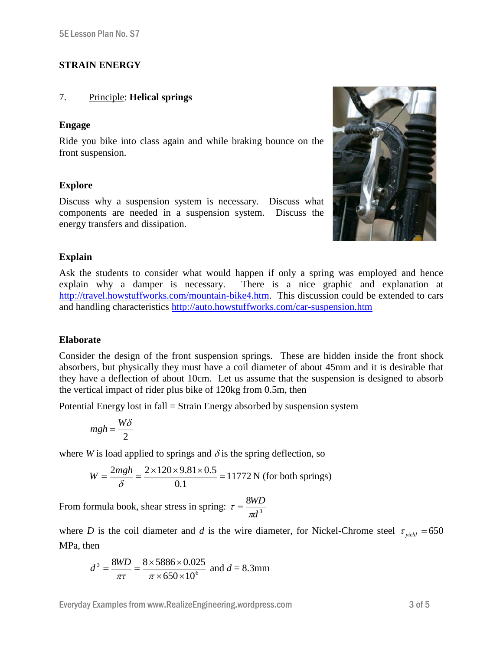#### **STRAIN ENERGY**

#### 7. Principle: **Helical springs**

#### **Engage**

Ride you bike into class again and while braking bounce on the front suspension.

#### **Explore**

Discuss why a suspension system is necessary. Discuss what components are needed in a suspension system. Discuss the energy transfers and dissipation.



#### **Explain**

Ask the students to consider what would happen if only a spring was employed and hence explain why a damper is necessary. There is a nice graphic and explanation at [http://travel.howstuffworks.com/mountain-bike4.htm.](http://travel.howstuffworks.com/mountain-bike4.htm) This discussion could be extended to cars and handling characteristics<http://auto.howstuffworks.com/car-suspension.htm>

#### **Elaborate**

Consider the design of the front suspension springs. These are hidden inside the front shock absorbers, but physically they must have a coil diameter of about 45mm and it is desirable that they have a deflection of about 10cm. Let us assume that the suspension is designed to absorb the vertical impact of rider plus bike of 120kg from 0.5m, then

Potential Energy lost in fall = Strain Energy absorbed by suspension system

$$
mgh = \frac{W\delta}{2}
$$

where *W* is load applied to springs and  $\delta$  is the spring deflection, so

$$
W = \frac{2mgh}{\delta} = \frac{2 \times 120 \times 9.81 \times 0.5}{0.1} = 11772 \text{ N (for both springs)}
$$

From formula book, shear stress in spring:  $\tau = \frac{60 \text{ V}}{\sigma d^3}$ 8 *d WD*  $\tau = \frac{Sr}{\pi}$ 

where *D* is the coil diameter and *d* is the wire diameter, for Nickel-Chrome steel  $\tau_{yield} = 650$ MPa, then

$$
d^{3} = \frac{8WD}{\pi\tau} = \frac{8 \times 5886 \times 0.025}{\pi \times 650 \times 10^{6}} \text{ and } d = 8.3 \text{mm}
$$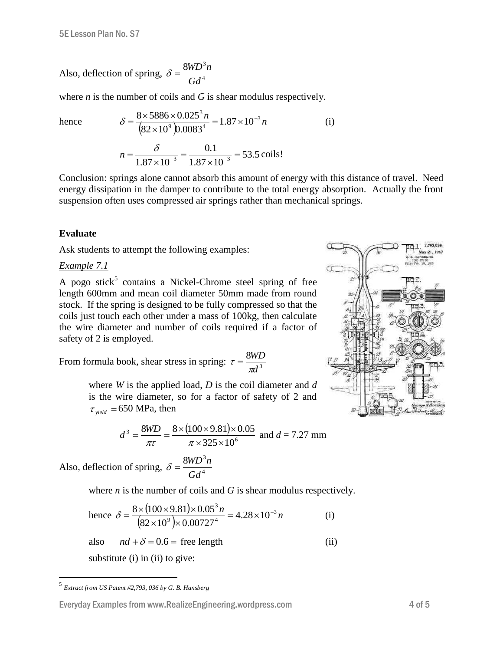Also, deflection of spring,  $\delta = \frac{G}{dA^4}$  $8WD^3$ *Gd*  $\delta = \frac{8WD^3n}{n}$ 

where *n* is the number of coils and *G* is shear modulus respectively.

hence

$$
\delta = \frac{8 \times 5886 \times 0.025^3 n}{(82 \times 10^9) 0.0083^4} = 1.87 \times 10^{-3} n
$$
 (i)  

$$
n = \frac{\delta}{1.87 \times 10^{-3}} = \frac{0.1}{1.87 \times 10^{-3}} = 53.5 \text{ coils!}
$$

Conclusion: springs alone cannot absorb this amount of energy with this distance of travel. Need energy dissipation in the damper to contribute to the total energy absorption. Actually the front suspension often uses compressed air springs rather than mechanical springs.

#### **Evaluate**

Ask students to attempt the following examples:

*Example 7.1*

A pogo stick<sup>5</sup> contains a Nickel-Chrome steel spring of free length 600mm and mean coil diameter 50mm made from round stock. If the spring is designed to be fully compressed so that the coils just touch each other under a mass of 100kg, then calculate the wire diameter and number of coils required if a factor of safety of 2 is employed.

From formula book, shear stress in spring:  $\tau = \frac{60 \text{ V}}{\sigma d^3}$ 8 *d WD*  $\tau = \frac{Sr}{\pi}$ 

> where *W* is the applied load, *D* is the coil diameter and *d* is the wire diameter, so for a factor of safety of 2 and  $\tau_{yield}$  = 650 MPa, then

$$
d^{3} = \frac{8WD}{\pi\tau} = \frac{8 \times (100 \times 9.81) \times 0.05}{\pi \times 325 \times 10^{6}}
$$
 and  $d = 7.27$  mm

Also, deflection of spring,  $\delta = \frac{G}{dA^4}$  $8WD^3$ *Gd*  $\delta = \frac{8WD^3n}{n}$ 

where *n* is the number of coils and *G* is shear modulus respectively.

hence 
$$
\delta = \frac{8 \times (100 \times 9.81) \times 0.05^3 n}{(82 \times 10^9) \times 0.00727^4} = 4.28 \times 10^{-3} n
$$
 (i)

also  $nd + \delta = 0.6$  = free length (ii)

substitute  $(i)$  in  $(ii)$  to give:

 $\overline{a}$ 





<sup>5</sup> *Extract from US Patent #2,793, 036 by G. B. Hansberg*